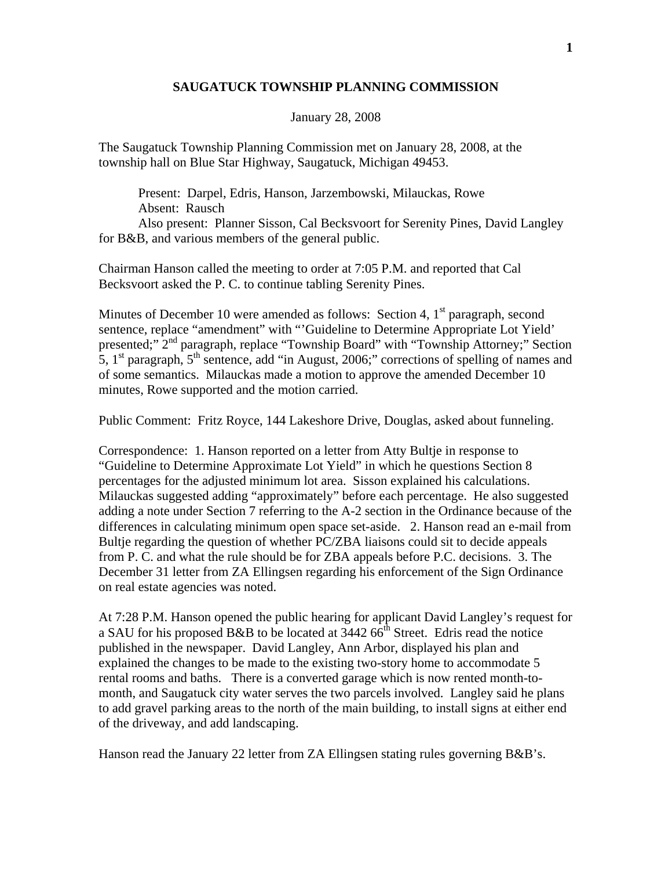## **SAUGATUCK TOWNSHIP PLANNING COMMISSION**

## January 28, 2008

The Saugatuck Township Planning Commission met on January 28, 2008, at the township hall on Blue Star Highway, Saugatuck, Michigan 49453.

 Present: Darpel, Edris, Hanson, Jarzembowski, Milauckas, Rowe Absent: Rausch Also present: Planner Sisson, Cal Becksvoort for Serenity Pines, David Langley for B&B, and various members of the general public.

Chairman Hanson called the meeting to order at 7:05 P.M. and reported that Cal Becksvoort asked the P. C. to continue tabling Serenity Pines.

Minutes of December 10 were amended as follows: Section 4,  $1<sup>st</sup>$  paragraph, second sentence, replace "amendment" with "'Guideline to Determine Appropriate Lot Yield' presented;"  $2<sup>nd</sup>$  paragraph, replace "Township Board" with "Township Attorney;" Section 5,  $1<sup>st</sup>$  paragraph,  $5<sup>th</sup>$  sentence, add "in August, 2006;" corrections of spelling of names and of some semantics. Milauckas made a motion to approve the amended December 10 minutes, Rowe supported and the motion carried.

Public Comment: Fritz Royce, 144 Lakeshore Drive, Douglas, asked about funneling.

Correspondence: 1. Hanson reported on a letter from Atty Bultje in response to "Guideline to Determine Approximate Lot Yield" in which he questions Section 8 percentages for the adjusted minimum lot area. Sisson explained his calculations. Milauckas suggested adding "approximately" before each percentage. He also suggested adding a note under Section 7 referring to the A-2 section in the Ordinance because of the differences in calculating minimum open space set-aside. 2. Hanson read an e-mail from Bultje regarding the question of whether PC/ZBA liaisons could sit to decide appeals from P. C. and what the rule should be for ZBA appeals before P.C. decisions. 3. The December 31 letter from ZA Ellingsen regarding his enforcement of the Sign Ordinance on real estate agencies was noted.

At 7:28 P.M. Hanson opened the public hearing for applicant David Langley's request for a SAU for his proposed B&B to be located at  $3442.66<sup>th</sup>$  Street. Edris read the notice published in the newspaper. David Langley, Ann Arbor, displayed his plan and explained the changes to be made to the existing two-story home to accommodate 5 rental rooms and baths. There is a converted garage which is now rented month-tomonth, and Saugatuck city water serves the two parcels involved. Langley said he plans to add gravel parking areas to the north of the main building, to install signs at either end of the driveway, and add landscaping.

Hanson read the January 22 letter from ZA Ellingsen stating rules governing B&B's.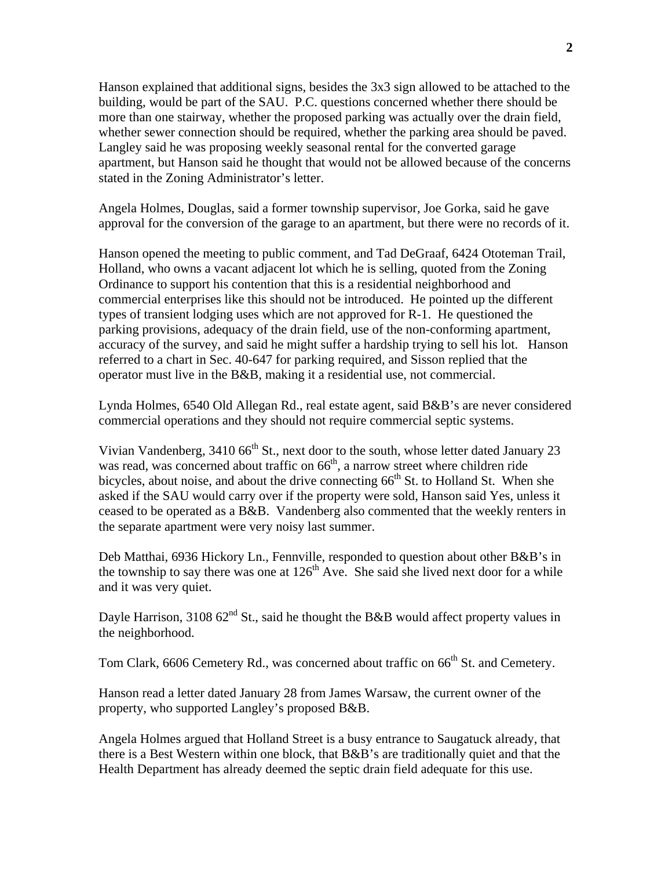Hanson explained that additional signs, besides the 3x3 sign allowed to be attached to the building, would be part of the SAU. P.C. questions concerned whether there should be more than one stairway, whether the proposed parking was actually over the drain field, whether sewer connection should be required, whether the parking area should be paved. Langley said he was proposing weekly seasonal rental for the converted garage apartment, but Hanson said he thought that would not be allowed because of the concerns stated in the Zoning Administrator's letter.

Angela Holmes, Douglas, said a former township supervisor, Joe Gorka, said he gave approval for the conversion of the garage to an apartment, but there were no records of it.

Hanson opened the meeting to public comment, and Tad DeGraaf, 6424 Ototeman Trail, Holland, who owns a vacant adjacent lot which he is selling, quoted from the Zoning Ordinance to support his contention that this is a residential neighborhood and commercial enterprises like this should not be introduced. He pointed up the different types of transient lodging uses which are not approved for R-1. He questioned the parking provisions, adequacy of the drain field, use of the non-conforming apartment, accuracy of the survey, and said he might suffer a hardship trying to sell his lot. Hanson referred to a chart in Sec. 40-647 for parking required, and Sisson replied that the operator must live in the B&B, making it a residential use, not commercial.

Lynda Holmes, 6540 Old Allegan Rd., real estate agent, said B&B's are never considered commercial operations and they should not require commercial septic systems.

Vivian Vandenberg,  $3410\,66^{th}$  St., next door to the south, whose letter dated January 23 was read, was concerned about traffic on  $66<sup>th</sup>$ , a narrow street where children ride bicycles, about noise, and about the drive connecting  $66<sup>th</sup>$  St. to Holland St. When she asked if the SAU would carry over if the property were sold, Hanson said Yes, unless it ceased to be operated as a B&B. Vandenberg also commented that the weekly renters in the separate apartment were very noisy last summer.

Deb Matthai, 6936 Hickory Ln., Fennville, responded to question about other B&B's in the township to say there was one at  $126<sup>th</sup>$  Ave. She said she lived next door for a while and it was very quiet.

Dayle Harrison, 3108  $62<sup>nd</sup>$  St., said he thought the B&B would affect property values in the neighborhood.

Tom Clark, 6606 Cemetery Rd., was concerned about traffic on 66<sup>th</sup> St. and Cemetery.

Hanson read a letter dated January 28 from James Warsaw, the current owner of the property, who supported Langley's proposed B&B.

Angela Holmes argued that Holland Street is a busy entrance to Saugatuck already, that there is a Best Western within one block, that B&B's are traditionally quiet and that the Health Department has already deemed the septic drain field adequate for this use.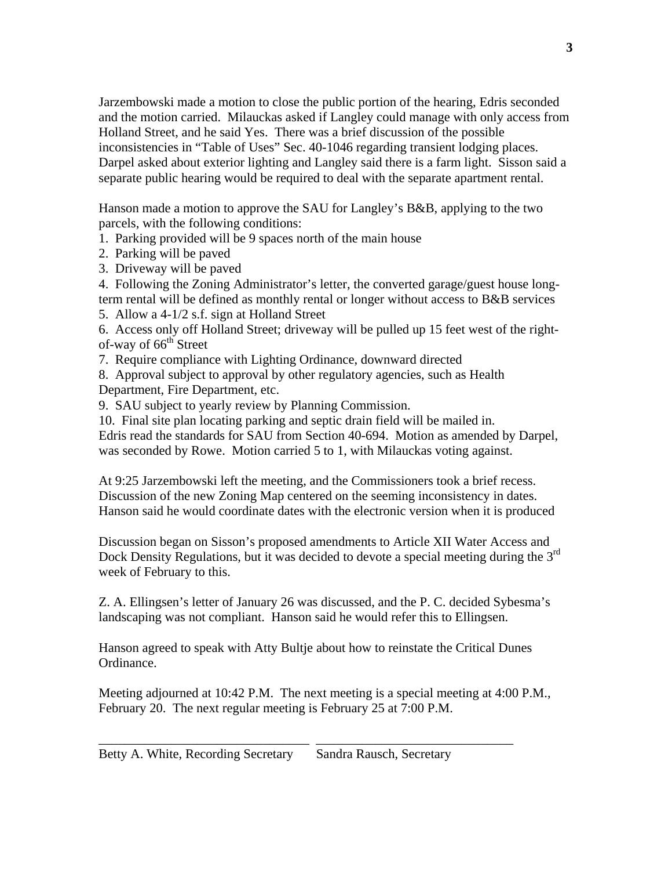Jarzembowski made a motion to close the public portion of the hearing, Edris seconded and the motion carried. Milauckas asked if Langley could manage with only access from Holland Street, and he said Yes. There was a brief discussion of the possible inconsistencies in "Table of Uses" Sec. 40-1046 regarding transient lodging places. Darpel asked about exterior lighting and Langley said there is a farm light. Sisson said a separate public hearing would be required to deal with the separate apartment rental.

Hanson made a motion to approve the SAU for Langley's B&B, applying to the two parcels, with the following conditions:

1. Parking provided will be 9 spaces north of the main house

- 2. Parking will be paved
- 3. Driveway will be paved

4. Following the Zoning Administrator's letter, the converted garage/guest house longterm rental will be defined as monthly rental or longer without access to B&B services

5. Allow a 4-1/2 s.f. sign at Holland Street

6. Access only off Holland Street; driveway will be pulled up 15 feet west of the rightof-way of 66<sup>th</sup> Street

7. Require compliance with Lighting Ordinance, downward directed

8. Approval subject to approval by other regulatory agencies, such as Health Department, Fire Department, etc.

9. SAU subject to yearly review by Planning Commission.

10. Final site plan locating parking and septic drain field will be mailed in. Edris read the standards for SAU from Section 40-694. Motion as amended by Darpel, was seconded by Rowe. Motion carried 5 to 1, with Milauckas voting against.

At 9:25 Jarzembowski left the meeting, and the Commissioners took a brief recess. Discussion of the new Zoning Map centered on the seeming inconsistency in dates. Hanson said he would coordinate dates with the electronic version when it is produced

Discussion began on Sisson's proposed amendments to Article XII Water Access and Dock Density Regulations, but it was decided to devote a special meeting during the 3<sup>rd</sup> week of February to this.

Z. A. Ellingsen's letter of January 26 was discussed, and the P. C. decided Sybesma's landscaping was not compliant. Hanson said he would refer this to Ellingsen.

Hanson agreed to speak with Atty Bultje about how to reinstate the Critical Dunes Ordinance.

Meeting adjourned at 10:42 P.M. The next meeting is a special meeting at 4:00 P.M., February 20. The next regular meeting is February 25 at 7:00 P.M.

\_\_\_\_\_\_\_\_\_\_\_\_\_\_\_\_\_\_\_\_\_\_\_\_\_\_\_\_\_\_\_\_ \_\_\_\_\_\_\_\_\_\_\_\_\_\_\_\_\_\_\_\_\_\_\_\_\_\_\_\_\_\_